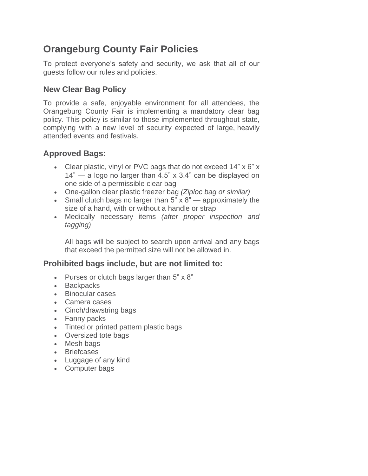# **Orangeburg County Fair Policies**

To protect everyone's safety and security, we ask that all of our guests follow our rules and policies.

## **New Clear Bag Policy**

To provide a safe, enjoyable environment for all attendees, the Orangeburg County Fair is implementing a mandatory clear bag policy. This policy is similar to those implemented throughout state, complying with a new level of security expected of large, heavily attended events and festivals.

# **Approved Bags:**

- Clear plastic, vinyl or PVC bags that do not exceed 14" x 6" x 14" — a logo no larger than 4.5" x 3.4" can be displayed on one side of a permissible clear bag
- One-gallon clear plastic freezer bag *(Ziploc bag or similar)*
- Small clutch bags no larger than  $5$ "  $\times$  8" approximately the size of a hand, with or without a handle or strap
- Medically necessary items *(after proper inspection and tagging)*

All bags will be subject to search upon arrival and any bags that exceed the permitted size will not be allowed in.

## **Prohibited bags include, but are not limited to:**

- Purses or clutch bags larger than 5" x 8"
- Backpacks
- Binocular cases
- Camera cases
- Cinch/drawstring bags
- Fanny packs
- Tinted or printed pattern plastic bags
- Oversized tote bags
- Mesh bags
- Briefcases
- Luggage of any kind
- Computer bags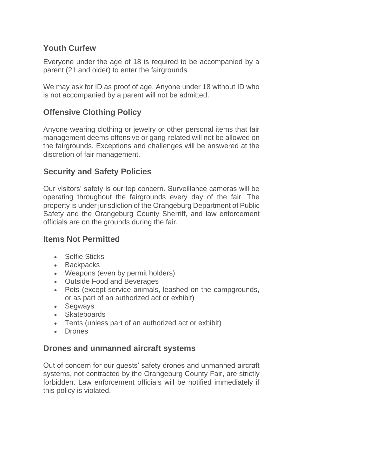#### **Youth Curfew**

Everyone under the age of 18 is required to be accompanied by a parent (21 and older) to enter the fairgrounds.

We may ask for ID as proof of age. Anyone under 18 without ID who is not accompanied by a parent will not be admitted.

## **Offensive Clothing Policy**

Anyone wearing clothing or jewelry or other personal items that fair management deems offensive or gang-related will not be allowed on the fairgrounds. Exceptions and challenges will be answered at the discretion of fair management.

## **Security and Safety Policies**

Our visitors' safety is our top concern. Surveillance cameras will be operating throughout the fairgrounds every day of the fair. The property is under jurisdiction of the Orangeburg Department of Public Safety and the Orangeburg County Sherriff, and law enforcement officials are on the grounds during the fair.

#### **Items Not Permitted**

- Selfie Sticks
- Backpacks
- Weapons (even by permit holders)
- Outside Food and Beverages
- Pets (except service animals, leashed on the campgrounds, or as part of an authorized act or exhibit)
- Segways
- Skateboards
- Tents (unless part of an authorized act or exhibit)
- Drones

#### **Drones and unmanned aircraft systems**

Out of concern for our guests' safety drones and unmanned aircraft systems, not contracted by the Orangeburg County Fair, are strictly forbidden. Law enforcement officials will be notified immediately if this policy is violated.